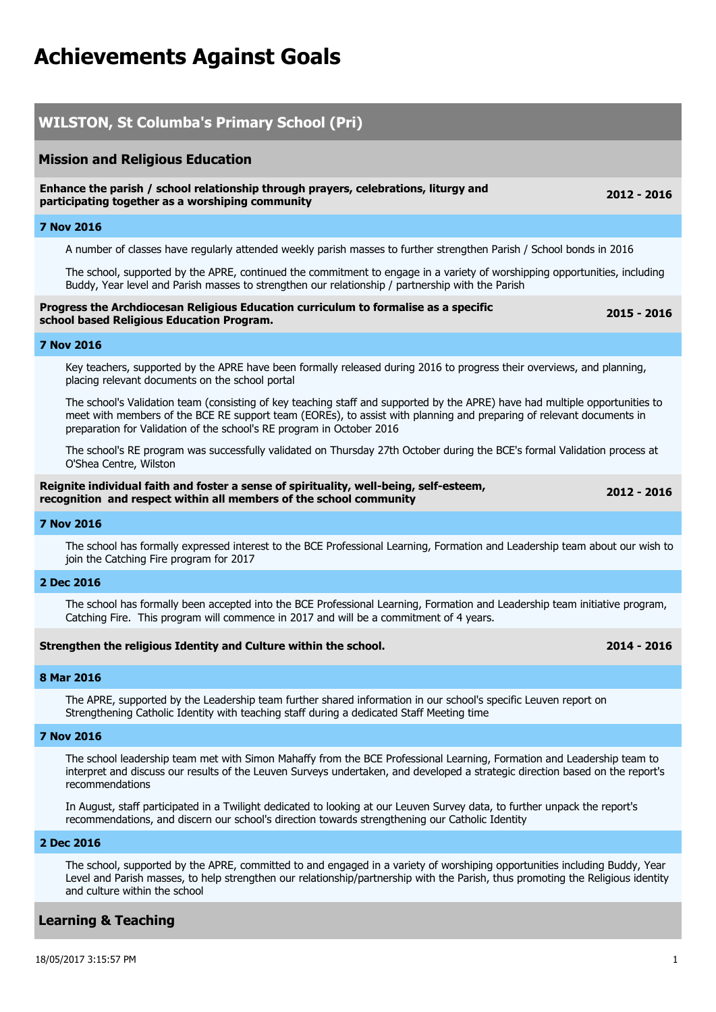# **Achievements Against Goals**

## **WILSTON, St Columba's Primary School (Pri) Mission and Religious Education Enhance the parish / school relationship through prayers, celebrations, liturgy and participating together as a worshiping community 2012 - 2016 7 Nov 2016** A number of classes have regularly attended weekly parish masses to further strengthen Parish / School bonds in 2016 The school, supported by the APRE, continued the commitment to engage in a variety of worshipping opportunities, including Buddy, Year level and Parish masses to strengthen our relationship / partnership with the Parish **Progress the Archdiocesan Religious Education curriculum to formalise as a specific school based Religious Education Program. 2015 - 2016 7 Nov 2016** Key teachers, supported by the APRE have been formally released during 2016 to progress their overviews, and planning, placing relevant documents on the school portal The school's Validation team (consisting of key teaching staff and supported by the APRE) have had multiple opportunities to meet with members of the BCE RE support team (EOREs), to assist with planning and preparing of relevant documents in preparation for Validation of the school's RE program in October 2016 The school's RE program was successfully validated on Thursday 27th October during the BCE's formal Validation process at O'Shea Centre, Wilston **Reignite individual faith and foster a sense of spirituality, well-being, self-esteem, recognition and respect within all members of the school community 2012 - 2016 7 Nov 2016** The school has formally expressed interest to the BCE Professional Learning, Formation and Leadership team about our wish to join the Catching Fire program for 2017 **2 Dec 2016** The school has formally been accepted into the BCE Professional Learning, Formation and Leadership team initiative program, Catching Fire. This program will commence in 2017 and will be a commitment of 4 years. **Strengthen the religious Identity and Culture within the school. 2014 - 2016 8 Mar 2016** The APRE, supported by the Leadership team further shared information in our school's specific Leuven report on Strengthening Catholic Identity with teaching staff during a dedicated Staff Meeting time **7 Nov 2016** The school leadership team met with Simon Mahaffy from the BCE Professional Learning, Formation and Leadership team to interpret and discuss our results of the Leuven Surveys undertaken, and developed a strategic direction based on the report's recommendations In August, staff participated in a Twilight dedicated to looking at our Leuven Survey data, to further unpack the report's recommendations, and discern our school's direction towards strengthening our Catholic Identity **2 Dec 2016** The school, supported by the APRE, committed to and engaged in a variety of worshiping opportunities including Buddy, Year Level and Parish masses, to help strengthen our relationship/partnership with the Parish, thus promoting the Religious identity and culture within the school

#### **Learning & Teaching**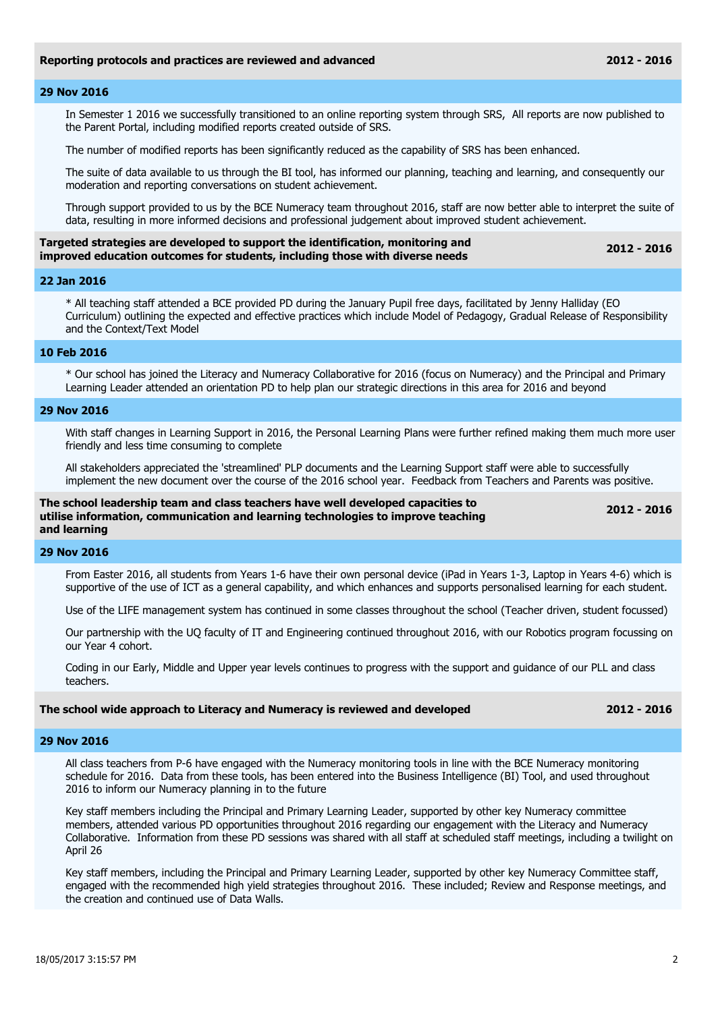#### **29 Nov 2016**

In Semester 1 2016 we successfully transitioned to an online reporting system through SRS, All reports are now published to the Parent Portal, including modified reports created outside of SRS.

The number of modified reports has been significantly reduced as the capability of SRS has been enhanced.

The suite of data available to us through the BI tool, has informed our planning, teaching and learning, and consequently our moderation and reporting conversations on student achievement.

Through support provided to us by the BCE Numeracy team throughout 2016, staff are now better able to interpret the suite of data, resulting in more informed decisions and professional judgement about improved student achievement.

| Targeted strategies are developed to support the identification, monitoring and | 2012 - 2016 |
|---------------------------------------------------------------------------------|-------------|
| improved education outcomes for students, including those with diverse needs    |             |

#### **22 Jan 2016**

\* All teaching staff attended a BCE provided PD during the January Pupil free days, facilitated by Jenny Halliday (EO Curriculum) outlining the expected and effective practices which include Model of Pedagogy, Gradual Release of Responsibility and the Context/Text Model

#### **10 Feb 2016**

\* Our school has joined the Literacy and Numeracy Collaborative for 2016 (focus on Numeracy) and the Principal and Primary Learning Leader attended an orientation PD to help plan our strategic directions in this area for 2016 and beyond

#### **29 Nov 2016**

With staff changes in Learning Support in 2016, the Personal Learning Plans were further refined making them much more user friendly and less time consuming to complete

All stakeholders appreciated the 'streamlined' PLP documents and the Learning Support staff were able to successfully implement the new document over the course of the 2016 school year. Feedback from Teachers and Parents was positive.

**The school leadership team and class teachers have well developed capacities to utilise information, communication and learning technologies to improve teaching and learning** 

**2012 - 2016**

#### **29 Nov 2016**

From Easter 2016, all students from Years 1-6 have their own personal device (iPad in Years 1-3, Laptop in Years 4-6) which is supportive of the use of ICT as a general capability, and which enhances and supports personalised learning for each student.

Use of the LIFE management system has continued in some classes throughout the school (Teacher driven, student focussed)

Our partnership with the UQ faculty of IT and Engineering continued throughout 2016, with our Robotics program focussing on our Year 4 cohort.

Coding in our Early, Middle and Upper year levels continues to progress with the support and guidance of our PLL and class teachers.

#### **The school wide approach to Literacy and Numeracy is reviewed and developed 2012 - 2016**

#### **29 Nov 2016**

All class teachers from P-6 have engaged with the Numeracy monitoring tools in line with the BCE Numeracy monitoring schedule for 2016. Data from these tools, has been entered into the Business Intelligence (BI) Tool, and used throughout 2016 to inform our Numeracy planning in to the future

Key staff members including the Principal and Primary Learning Leader, supported by other key Numeracy committee members, attended various PD opportunities throughout 2016 regarding our engagement with the Literacy and Numeracy Collaborative. Information from these PD sessions was shared with all staff at scheduled staff meetings, including a twilight on April 26

Key staff members, including the Principal and Primary Learning Leader, supported by other key Numeracy Committee staff, engaged with the recommended high yield strategies throughout 2016. These included; Review and Response meetings, and the creation and continued use of Data Walls.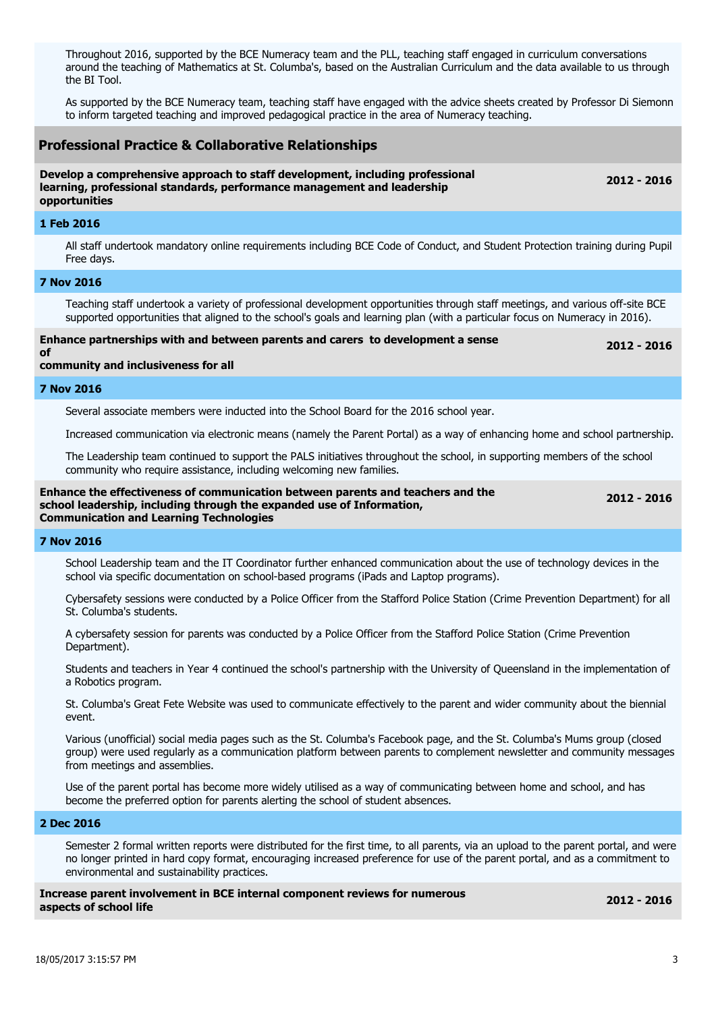Throughout 2016, supported by the BCE Numeracy team and the PLL, teaching staff engaged in curriculum conversations around the teaching of Mathematics at St. Columba's, based on the Australian Curriculum and the data available to us through the BI Tool.

As supported by the BCE Numeracy team, teaching staff have engaged with the advice sheets created by Professor Di Siemonn to inform targeted teaching and improved pedagogical practice in the area of Numeracy teaching.

### **Professional Practice & Collaborative Relationships**

#### **Develop a comprehensive approach to staff development, including professional learning, professional standards, performance management and leadership opportunities**

#### **1 Feb 2016**

All staff undertook mandatory online requirements including BCE Code of Conduct, and Student Protection training during Pupil Free days.

#### **7 Nov 2016**

Teaching staff undertook a variety of professional development opportunities through staff meetings, and various off-site BCE supported opportunities that aligned to the school's goals and learning plan (with a particular focus on Numeracy in 2016).

**Enhance partnerships with and between parents and carers to development a sense** 

**2012 - 2016**

**2012 - 2016**

#### **community and inclusiveness for all**

#### **7 Nov 2016**

**of** 

Several associate members were inducted into the School Board for the 2016 school year.

Increased communication via electronic means (namely the Parent Portal) as a way of enhancing home and school partnership.

The Leadership team continued to support the PALS initiatives throughout the school, in supporting members of the school community who require assistance, including welcoming new families.

#### **Enhance the effectiveness of communication between parents and teachers and the school leadership, including through the expanded use of Information, Communication and Learning Technologies**

**2012 - 2016**

#### **7 Nov 2016**

School Leadership team and the IT Coordinator further enhanced communication about the use of technology devices in the school via specific documentation on school-based programs (iPads and Laptop programs).

Cybersafety sessions were conducted by a Police Officer from the Stafford Police Station (Crime Prevention Department) for all St. Columba's students.

A cybersafety session for parents was conducted by a Police Officer from the Stafford Police Station (Crime Prevention Department).

Students and teachers in Year 4 continued the school's partnership with the University of Queensland in the implementation of a Robotics program.

St. Columba's Great Fete Website was used to communicate effectively to the parent and wider community about the biennial event.

Various (unofficial) social media pages such as the St. Columba's Facebook page, and the St. Columba's Mums group (closed group) were used regularly as a communication platform between parents to complement newsletter and community messages from meetings and assemblies.

Use of the parent portal has become more widely utilised as a way of communicating between home and school, and has become the preferred option for parents alerting the school of student absences.

#### **2 Dec 2016**

Semester 2 formal written reports were distributed for the first time, to all parents, via an upload to the parent portal, and were no longer printed in hard copy format, encouraging increased preference for use of the parent portal, and as a commitment to environmental and sustainability practices.

**Increase parent involvement in BCE internal component reviews for numerous aspects of school life** 

**2012 - 2016**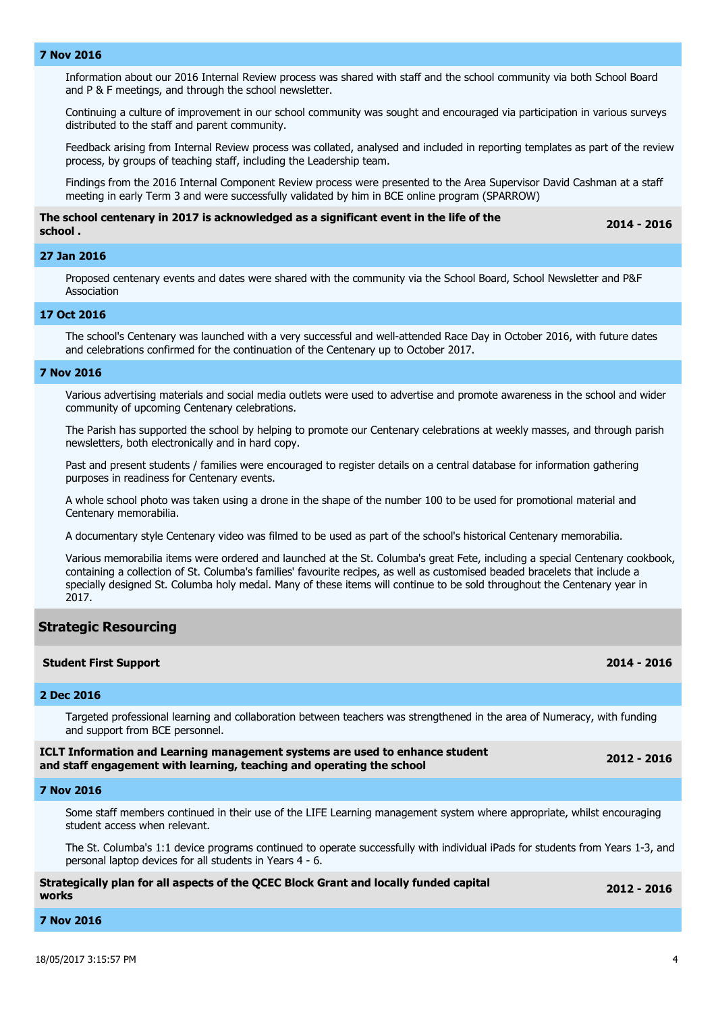#### **7 Nov 2016**

Information about our 2016 Internal Review process was shared with staff and the school community via both School Board and P & F meetings, and through the school newsletter.

Continuing a culture of improvement in our school community was sought and encouraged via participation in various surveys distributed to the staff and parent community.

Feedback arising from Internal Review process was collated, analysed and included in reporting templates as part of the review process, by groups of teaching staff, including the Leadership team.

Findings from the 2016 Internal Component Review process were presented to the Area Supervisor David Cashman at a staff meeting in early Term 3 and were successfully validated by him in BCE online program (SPARROW)

#### **The school centenary in 2017 is acknowledged as a significant event in the life of the school .**

**2014 - 2016**

#### **27 Jan 2016**

Proposed centenary events and dates were shared with the community via the School Board, School Newsletter and P&F Association

#### **17 Oct 2016**

The school's Centenary was launched with a very successful and well-attended Race Day in October 2016, with future dates and celebrations confirmed for the continuation of the Centenary up to October 2017.

#### **7 Nov 2016**

Various advertising materials and social media outlets were used to advertise and promote awareness in the school and wider community of upcoming Centenary celebrations.

The Parish has supported the school by helping to promote our Centenary celebrations at weekly masses, and through parish newsletters, both electronically and in hard copy.

Past and present students / families were encouraged to register details on a central database for information gathering purposes in readiness for Centenary events.

A whole school photo was taken using a drone in the shape of the number 100 to be used for promotional material and Centenary memorabilia.

A documentary style Centenary video was filmed to be used as part of the school's historical Centenary memorabilia.

Various memorabilia items were ordered and launched at the St. Columba's great Fete, including a special Centenary cookbook, containing a collection of St. Columba's families' favourite recipes, as well as customised beaded bracelets that include a specially designed St. Columba holy medal. Many of these items will continue to be sold throughout the Centenary year in 2017.

#### **Strategic Resourcing**

#### **Student First Support 2014 - 2016**

**2 Dec 2016**

Targeted professional learning and collaboration between teachers was strengthened in the area of Numeracy, with funding and support from BCE personnel.

| ICLT Information and Learning management systems are used to enhance student | $2012 - 2016$ |
|------------------------------------------------------------------------------|---------------|
| and staff engagement with learning, teaching and operating the school        |               |

#### **7 Nov 2016**

Some staff members continued in their use of the LIFE Learning management system where appropriate, whilst encouraging student access when relevant.

The St. Columba's 1:1 device programs continued to operate successfully with individual iPads for students from Years 1-3, and personal laptop devices for all students in Years 4 - 6.

#### **Strategically plan for all aspects of the QCEC Block Grant and locally funded capital works 2012 - 2016**

**7 Nov 2016**